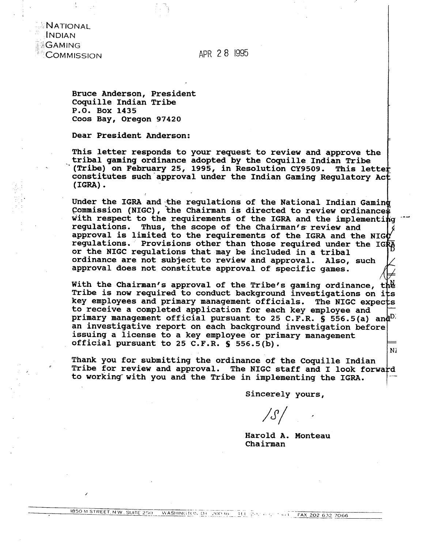NATIONAL **INDIAN GAMING** COMMISSION

APR 2 8 1995

**Bruce Anderson, President Coquille Indian Tribe P.0, Box 1435 Coos Bay, Oregon 97420** 

**Dear President Anderson:** 

**This letter responds to your request to review and approve the -tribal gaming ordinance adopted by the Caquille Indian Tribe \*(Tribe) on February 25, 1995, in Resolution CY9509. This lette constitutes such-approval under the Indian Gaming Regulatory Ac (IGRA)** .

Under the IGRA and the regulations of the National Indian Gaming Commission (NIGC), the Chairman is directed to review ordinances with respect to the requirements of the IGRA and the implementing **regulations. Thus, the scope of the Chairman's review and**  approval is limited to the requirements of the IGRA and the NIGO requlations. Provisions other than those required under the IGRA **or the NIGC regulations that may be included in a tribal ordinance are not subject to review and approval. Also, such**  approval does not constitute approval of specific games.<br><br>With the Chairman's approval of the Tribe's gaming ordinance, the

With the Chairman's approval of the Tribe's gaming ordinance, Tribe is now required to conduct background investigations on its key employees and primary management officials. The NIGC expects key employees and primary management officials. **to receive a completed application for each key employee and primary management official pursuant to 25 C.F.R. S 556.5(a) an an investigative report on each background investigation before issuing a license to a key employee or primary management official pursuant to 25 C.F.R. S 556.5(b).**  Ni

Thank you for submitting the ordinance of the Coquille Indian |<br>Tribe for review and approval. The NIGC staff and I look forward to working with you and the Tribe in implementing the IGRA.

**Sincerely yours,** 

 $\angle S$ 

**Harold A, Monteau Chairman**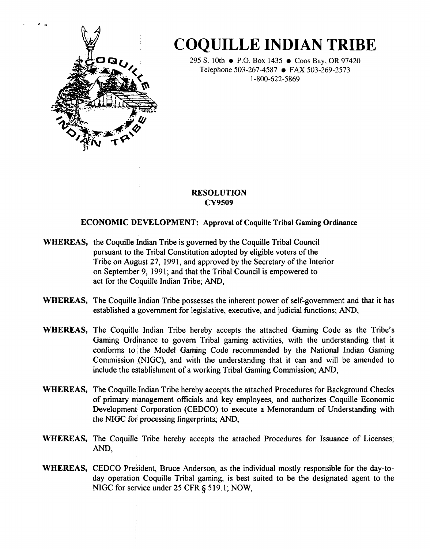

# **COQUILLE INDIAN TRIBE**

295 S. 10th • P.O. Box 1435 • Coos Bay, OR 97420 Telephone 503-267-4587 • FAX 503-269-2573 1-800-622-5869

# **RESOLUTION CY9509**

# **ECONOMIC DEVELOPMENT: Approval of Coquille Tribal Gaming Ordinance**

- **WHEREAS,** the Coquille Indian Tribe is governed by the Coquille Tribal Council pursuant to the Tribal Constitution adopted by eligible voters of the Tribe on August 27, 1991, and approved by the Secretary of the Interior on September 9, 1991 ; and that the Tribal Council is empowered to act for the Coquille Indian Tribe; AND,
- **WHEREAS,** The Coquille Indian Tribe possesses the inherent power of self-government and that it has established a government for legislative, executive, and judicial functions; AND,
- **WHEREAS,** The Coquille Indian Tribe hereby accepts the attached Gaming Code as the Tribe's Gaming Ordinance to govern Tribal gaming activities, with the understanding that it conforms to the Model Gaming Code recommended by the National Indian Gaming Commission (NIGC), and with the understanding that it can and will be amended to include the establishment of a working Tribal Gaming Commission; AND,
- **WHEREAS,** The Coquille Indian Tribe hereby accepts the attached Procedures for Background Checks of primary management officials and key employees, and authorizes Coquille Economic Development Corporation (CEDCO) to execute a Memorandum of Understanding with the NIGC for processing fingerprints; AND,
- **WHEREAS,** The Coquille Tribe hereby accepts the attached Procedures for Issuance of Licenses; **AND,**
- **WHEREAS,** CEDCO President, Bruce Anderson, as the individual mostly responsible for the day-today operation Coquille Tribal gaming, is best suited to be the designated agent to the NIGC for service under 25 CFR  $\frac{5}{19.1}$ ; NOW,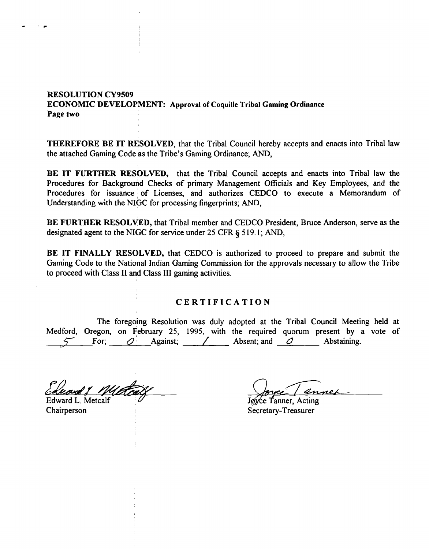# **RESOLUTION CY9509 ECONOMIC DEVELOPMENT: Approval of Coquille Tribal Gaming Ordinance Page** *two*

**THEREFORE BE IT RESOLVED,** that the Tribal Council hereby accepts and enacts into Tribal law the attached Gaming Code as the Tribe's Gaming Ordinance; AND,

**BE IT FURTHER RESOLVED,** that the Tribal Council accepts and enacts into Tribal law the Procedures for Background Checks of primary Management Officials and Key Employees, and the Procedures for issuance of Licenses, and authorizes CEDCO to execute a Memorandum of Understanding with the NIGC for processing fingerprints; AND,

BE FURTHER RESOLVED, that Tribal member and CEDCO President, Bruce Anderson, serve as the designated agent to the NIGC for service under 25 CFR § 519.1; AND,

**BE IT FINALLY RESOLVED,** that CEDCO is authorized to proceed to prepare and submit the Gaming Code to the National Indian Gaming Commission for the approvals necessary to allow the Tribe to proceed with Class I1 and Class 111 gaming activities.

## **CERTIFICATION**

The foregoing Resolution was duly adopted at the Tribal Council Meeting held at Medford, Oregon, on February 25, 1995, with the required quorum present by a vote of 5 For; **0;** Against; / Absent; and **0** Abstaining.

Edward L. Metcalf

Chairperson

- **1** 

Joyce Tanner, Acting Secretary-Treasurer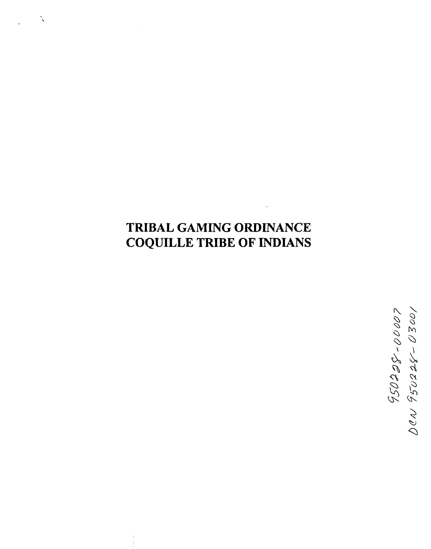# **TRIBAL GAMING ORDINANCE COQUILLE TRIBE OF INDIANS**

 $\tilde{\phantom{0}}$ 

10020-825056 NDO<br>1000-820500 NDO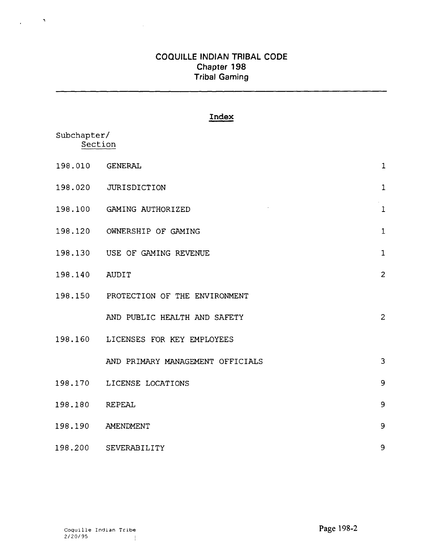$\sim$ 

# **Index**

| Subchapter/<br>Section |                                       |                |
|------------------------|---------------------------------------|----------------|
| 198.010                | <b>GENERAL</b>                        | $\mathbf{1}$   |
| 198.020                | <b>JURISDICTION</b>                   | $\mathbf{1}$   |
|                        | 198.100 GAMING AUTHORIZED             | $\mathbf{1}$   |
| 198.120                | OWNERSHIP OF GAMING                   | $\mathbf{1}$   |
|                        | 198.130 USE OF GAMING REVENUE         | $\mathbf{1}$   |
| 198.140                | <b>AUDIT</b>                          | $\overline{c}$ |
|                        | 198.150 PROTECTION OF THE ENVIRONMENT |                |
|                        | AND PUBLIC HEALTH AND SAFETY          | $\overline{c}$ |
|                        | 198.160 LICENSES FOR KEY EMPLOYEES    |                |
|                        | AND PRIMARY MANAGEMENT OFFICIALS      | 3              |
|                        | 198.170 LICENSE LOCATIONS             | 9              |
| 198.180                | <b>REPEAL</b>                         | 9              |
| 198.190                | AMENDMENT                             | 9              |
| 198.200                | SEVERABILITY                          | 9              |

 $\mathcal{L}^{\text{max}}$  ,  $\mathcal{L}^{\text{max}}$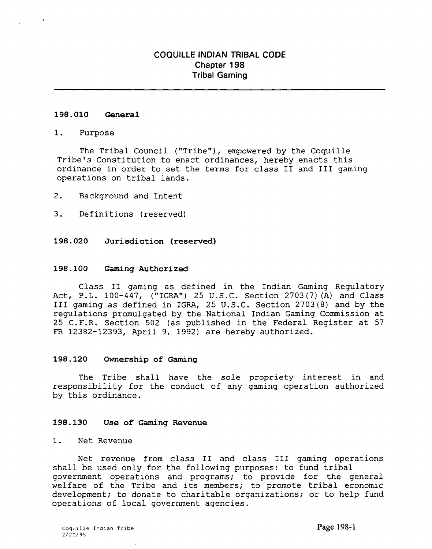## **198.010 General**

#### 1. Purpose

The Tribal Council ("Tribe"), empowered by the Coquille Tribe's Constitution to enact ordinances, hereby enacts this ordinance in order to set the terms for class I1 and I11 gaming operations on tribal lands.

2. Background and Intent

3. Definitions (reserved)

## **198.020 Jurisdiction (reserved)**

### **198.100 Gaming Authorized**

Class I1 gaming as defined in the Indian Gaming Regulatory Act, P.L. 100-447, ("IGRA") 25 U.S.C. Section 2703 (7) (A) and Class I11 gaming as defined in IGRA, 25 U.S.C. Section 2703(8) and by the regulations promulgated by the National Indian Gaming Commission at 25 C.F.R. Section 502 (as published in the Federal Register at 57 FR 12382-12393, April 9, 1992) are hereby authorized.

### **198.120 Ownership of Gaming**

The Tribe shall have the sole propriety interest in and responsibility for the conduct of any gaming operation authorized by this ordinance.

### **198.130 Use of Gaming Revenue**

## 1. Net Revenue

Net revenue from class I1 and class I11 gaming operations shall be used only for the following purposes: to fund tribal government operations and programs; to provide for the general welfare of the Tribe and its members; to promote tribal economic development; to donate to charitable organizations; or to help fund operations of local government agencies.

**Coquille Indian Tribe**  2/20/95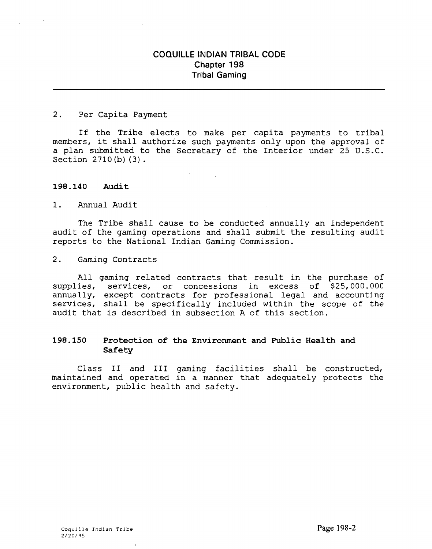2. Per Capita Payment

If the Tribe elects to make per capita payments to tribal members, it shall authorize such payments only upon the approval of a plan submitted to the Secretary of the Interior under 25 U.S.C. Section 2710 (b) (3) .

## **198.140 Audit**

1. Annual Audit

The Tribe shall cause to be conducted annually an independent audit of the gaming operations and shall submit the resulting audit reports to the National Indian Gaming Commission.

2. Gaming Contracts

All gaming related contracts that result in the purchase of supplies, services, or concessions in excess of \$25,000.000 annually, except contracts for professional legal and accounting services, shall be specifically included within the scope of the audit that is described in subsection **A** of this section.

## **198.150 Protection of the Environment and Public Health and Safety**

Class **I1** and **I11** gaming facilities shall be constructed, maintained and operated in a manner that adequately protects the environment, public health and safety.

 $\mathbf{r}$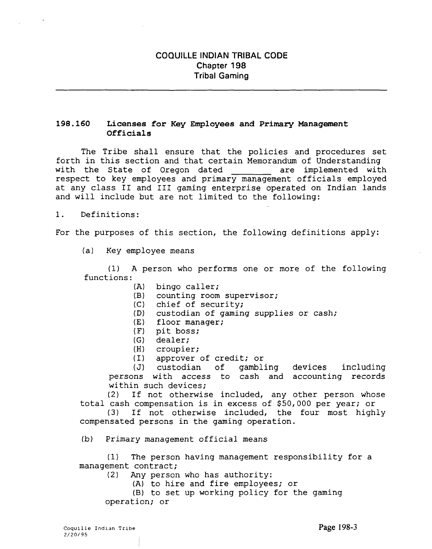## **198.160 Licenses for Key Employees and Primary Management Officials**

The Tribe shall ensure that the policies and procedures set forth in this section and that certain Memorandum of Understanding<br>with the State of Oregon dated are implemented with with the State of Oregon dated respect to key employees and primary management officials employed at any class I1 and 111 gaming enterprise operated on Indian lands and will include but are not limited to the following:

1. Definitions:

For the purposes of this section, the following definitions apply:

(a) Key employee means

**(1)** A person who performs one or more of the following functions:

- **(A)** bingo caller;
- (B) counting room supervisor;
- (C) chief of security;
- **(D)** custodian of gaming supplies or cash;
- **(E)** floor manager;
- (F) pit boss;
- **(G)** dealer;
- **(H)** croupier;
- (I) approver of credit; or

**(J)** custodian of gambling devices including persons with access to cash and accounting records within such devices;

(2) If not otherwise included, any other person whose total cash compensation is in excess of \$50,000 per year; or

**(3)** If not otherwise included, the four most highly compensated persons in the gaming operation.

**(b)** Primary management official means

**(1)** The person having management responsibility for a management contract;

- (2) Any person who has authority:
	- (A) to hire and fire employees; or

(B) to set up working policy for the gaming operation; or

**Coquille Indian Tribe**  2/20/95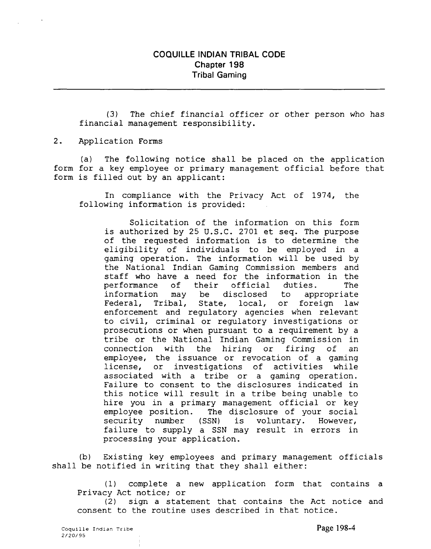(3) The chief financial officer or other person who has financial management responsibility.

2. Application Forms

(a) The following notice shall be placed on the application form for a key employee or primary management official before that form is filled out by an applicant:

In compliance with the Privacy Act of 1974, the following information is provided:

Solicitation of the information on this form is authorized by 25 U.S.C. 2701 et seq. The purpose of the requested information is to determine the eligibility of individuals to be employed in a gaming operation. The information will be used by the National Indian Gaming Commission members and staff who have a need for the information in the<br>performance of their official duties. The performance of their official duties. The<br>information may be disclosed to appropriate may be disclosed to appropriate Federal, Tribal, State, local, or foreign law enforcement and regulatory agencies when relevant to civil, criminal or regulatory investigations or prosecutions or when pursuant to a requirement by a tribe or the National Indian Gaming Commission in connection with the hiring or firing of an employee, the issuance or revocation of a gaming license, or investigations of activities while associated with a tribe or a gaming operation. Failure to consent to the disclosures indicated in this notice will result in a tribe being unable to hire you in a primary management official or key employee position. The disclosure of your social security number (SSN) is voluntary. However, failure to supply a SSN may result in errors in processing your application.

(b) Existing key employees and primary management officials shall be notified in writing that they shall either:

(1) complete a new application form that contains a Privacy Act notice; or

(2) sign a statement that contains the Act notice and consent to the routine uses described in that notice.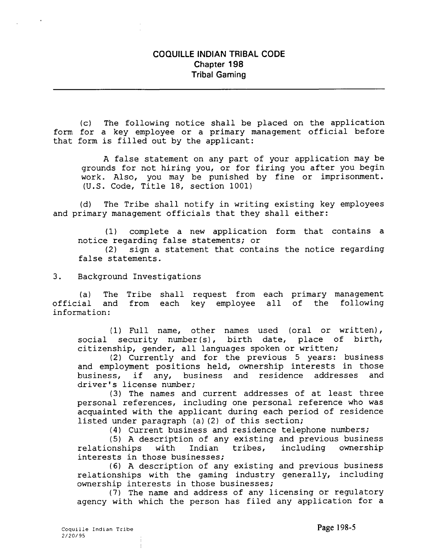(c) The following notice shall be placed on the application form for a key employee or a primary management official before that form is filled out by the applicant:

A false statement on any part of your application may be grounds for not hiring you, or for firing you after you begin work. Also, you may be punished by fine or imprisonment. (U.S. Code, Title 18, section 1001)

(d) The Tribe shall notify in writing existing key employees and primary management officials that they shall either:

(1) complete a new application form that contains a notice regarding false statements; or (2) sign a statement that contains the notice regarding false statements.

3. Background Investigations

(a) The Tribe shall request from each primary management official and from each key employee all of the following information:

1 Full name, other names used (oral or written), social security number(s), birth date, place of birth, citizenship, gender, all languages spoken or written;

(2) Currently and for the previous 5 years: business and employment positions held, ownership interests in those business, if any, business and residence addresses and driver's license number;

**(3)** The names and current addresses of at least three personal references, including one personal reference who was acquainted with the applicant during each period of residence listed under paragraph (a) (2) of this section;

**(4)** Current business and residence telephone numbers;

(5) A description of any existing and previous business<br>
onships with Indian tribes, including ownership relationships interests in those businesses;

**(6)** A description of any existing and previous business relationships with the gaming industry generally, including ownership interests in those businesses;

**(7)** The name and address of any licensing or regulatory agency with which the person has filed any application for a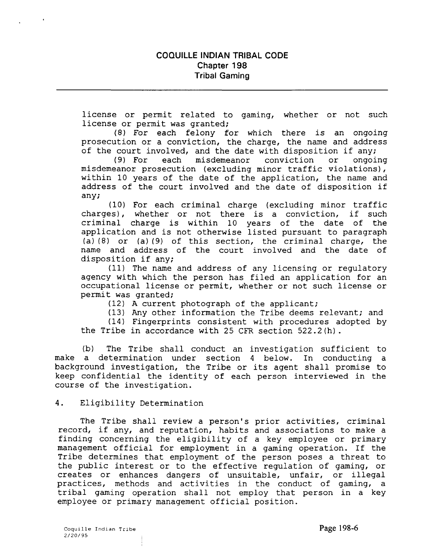license or permit related to gaming, whether or not such license or permit was granted;

(8) For each felony for which there is an ongoing prosecution or a conviction, the charge, the name and address of the court involved, and the date with disposition if any;<br>(9) For each misdemeanor conviction or ongoing

misdemeanor misdemeanor prosecution (excluding minor traffic violations), within 10 years of the date of the application, the name and address of the court involved and the date of disposition if any;

(10) For each criminal charge (excluding minor traffic charges), whether or not there is a conviction, if such criminal charge is within 10 years of the date of the application and is not otherwise listed pursuant to paragraph (a) (8) or (a) **(9)** of this section, the criminal charge, the name and address of the court involved and the date of disposition if any;

(11) The name and address of any licensing or regulatory agency with which the person has filed an application for an occupational license or permit, whether or not such license or permit was granted;

(12) A current photograph of the applicant;

(13) **Any** other information the Tribe deems relevant; and

(14) Fingerprints consistent with procedures adopted by the Tribe in accordance with 25 CFR section 522.2(h).

(b) The Tribe shall conduct an investigation sufficient to make a determination under section 4 below. In conducting a background investigation, the Tribe or its agent shall promise to keep confidential the identity of each person interviewed in the course of the investigation.

## 4. Eligibility Determination

The Tribe shall review a person's prior activities, criminal record, if any, and reputation, habits and associations to make a finding concerning the eligibility of a key employee or primary management official for employment in a gaming operation. If the Tribe determines that employment of the person poses a threat to the public interest or to the effective regulation of gaming, or creates or enhances dangers of unsuitable, unfair, or illegal practices, methods and activities in the conduct of gaming, a tribal gaming operation shall not employ that person in a key employee or primary management official position.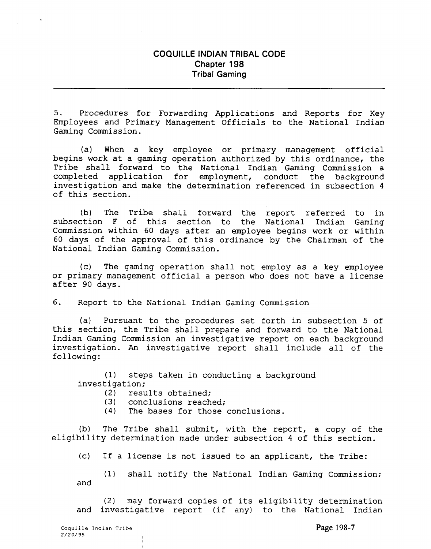5. Procedures for Forwarding Applications and Reports for Key Employees and Primary Management Officials to the National Indian Gaming Commission.

(a) When a key employee or primary management official begins work at a gaming operation authorized by this ordinance, the Tribe shall forward to the National Indian Gaming Commission a<br>completed application for employment, conduct the background completed application for employment, conduct the background investigation and make the determination referenced in subsection 4 of this section.

(b) The Tribe shall forward the report referred to in subsection F of this section to the National Indian Gaming Commission within 60 days after an employee begins work or within 60 days of the approval of this ordinance by the Chairman of the National Indian Gaming Commission.

(c) The gaming operation shall not employ as a key employee or primary management official a person who does not have a license after 90 days.

6. Report to the National Indian Gaming Commission

(a) Pursuant to the procedures set forth in subsection 5 of this section, the Tribe shall prepare and forward to the National Indian Gaming Commission an investigative report on each background investigation. **An** investigative report shall include all of the following:

(1) steps taken in conducting a background investigation;

- (2) results obtained;<br>(3) conclusions reach
- conclusions reached;
- (4) The bases for those conclusions.

(b) The Tribe shall submit, with the report, a copy of the eligibility determination made under subsection 4 of this section.

(c) If a license is not issued to an applicant, the Tribe:

(1) shall notify the National Indian Gaming Commission; and

(2) may forward copies of its eligibility determination and investigative report (if any) to the National Indian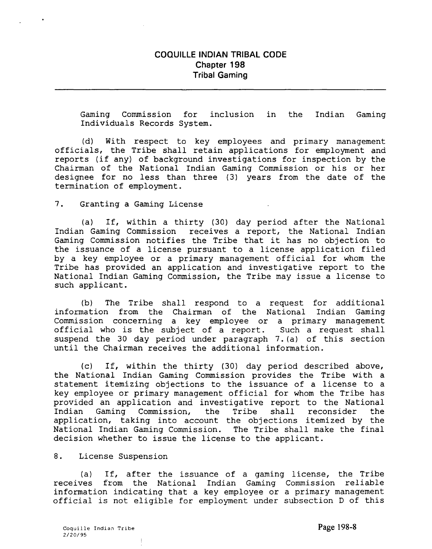Gaming Commission for inclusion in the Indian Gaming Individuals Records System.

(d) With respect to key employees and primary management officials, the Tribe shall retain applications for employment and reports (if any) of background investigations for inspection by the Chairman of the National Indian Gaming Commission or his or her designee for no less than three (3) years from the date of the termination of employment.

7. Granting a Gaming License

(a) If, within a thirty (30) day period after the National Indian Gaming Commission receives a report, the National Indian Gaming Commission notifies the Tribe that it has no objection to the issuance of a license pursuant to a license application filed by a key employee or a primary management official for whom the Tribe has provided an application and investigative report to the National Indian Gaming Commission, the Tribe may issue a license to such applicant.

(b) The Tribe shall respond to a request for additional information from the Chairman of the National Indian Gaming Commission concerning a key employee or a primary management official who is the subject of a report. Such a request shall suspend the 30 day period under paragraph 7.(a) of this section until the Chairman receives the additional information.

(c) If, within the thirty (30) day period described above, the National Indian Gaming Commission provides the Tribe with a statement itemizing objections to the issuance of a license to a key employee or primary management official for whom the Tribe has provided an application and investigative report to the National<br>Indian Gaming Commission, the Tribe shall reconsider the Commission, the Tribe shall reconsider the application, taking into account the objections itemized by the National Indian Gaming Commission. The Tribe shall make the final decision whether to issue the license to the applicant.

## 8. License Suspension

(a) If, after the issuance of a gaming license, the Tribe receives from the National Indian Gaming Commission reliable information indicating that a key employee or a primary management official is not eligible for employment under subsection D of this